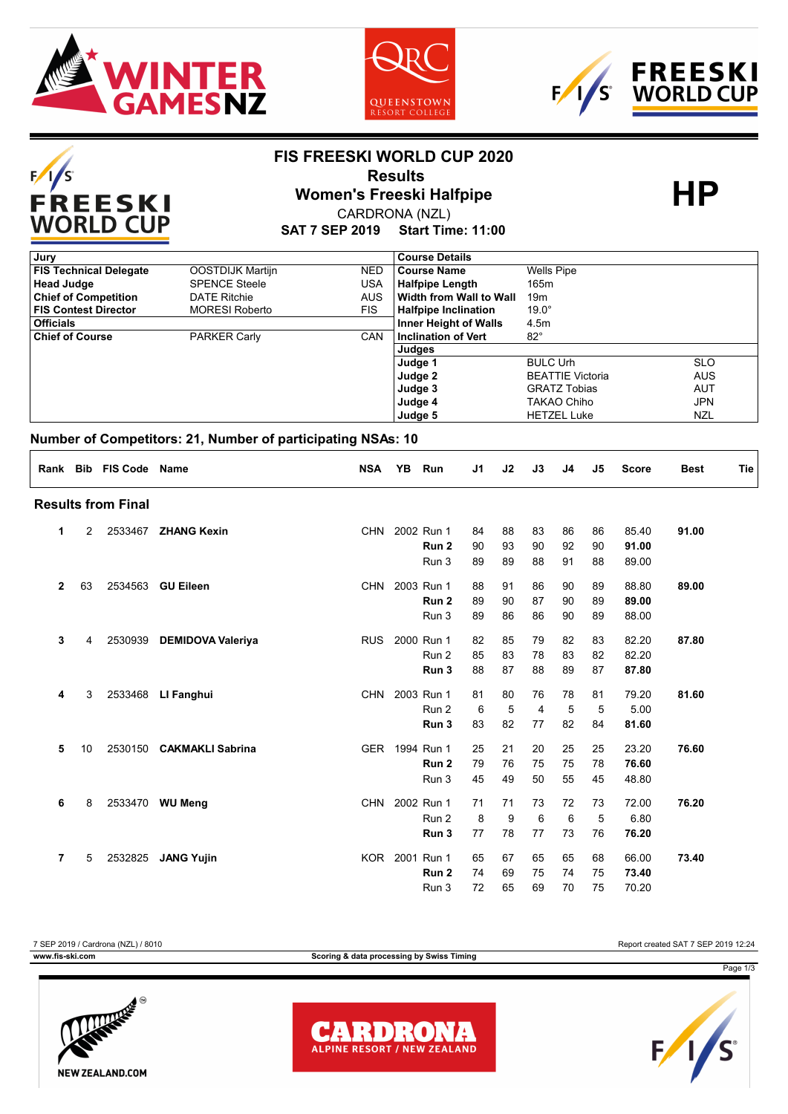

 $F/I/S$ 

FREESKI<br>WORLD CUP





### **FIS FREESKI WORLD CUP 2020**

# **Results<br>
Women's Freeski Halfpipe<br>
CAPDRONA (NZL)**

CARDRONA (NZL)

**SAT 7 SEP 2019 Start Time: 11:00**

| Jury                          |                       |            | <b>Course Details</b>        |                         |            |
|-------------------------------|-----------------------|------------|------------------------------|-------------------------|------------|
| <b>FIS Technical Delegate</b> | OOSTDIJK Martijn      | NED.       | Course Name                  | <b>Wells Pipe</b>       |            |
| <b>Head Judge</b>             | <b>SPENCE Steele</b>  | USA        | <b>Halfpipe Length</b>       | 165m                    |            |
| <b>Chief of Competition</b>   | <b>DATE Ritchie</b>   | <b>AUS</b> | l Width from Wall to Wall    | 19m                     |            |
| <b>FIS Contest Director</b>   | <b>MORESI Roberto</b> | <b>FIS</b> | <b>Halfpipe Inclination</b>  | $19.0^\circ$            |            |
| <b>Officials</b>              |                       |            | <b>Inner Height of Walls</b> | 4.5m                    |            |
| <b>Chief of Course</b>        | <b>PARKER Carly</b>   | <b>CAN</b> | Inclination of Vert          | $82^{\circ}$            |            |
|                               |                       |            | Judges                       |                         |            |
|                               |                       |            | Judge 1                      | <b>BULC Urh</b>         | <b>SLO</b> |
|                               |                       |            | Judge 2                      | <b>BEATTIE Victoria</b> | <b>AUS</b> |
|                               |                       |            | Judge 3                      | <b>GRATZ Tobias</b>     | <b>AUT</b> |
|                               |                       |            | Judge 4                      | TAKAO Chiho             | <b>JPN</b> |
|                               |                       |            | Judge 5                      | <b>HETZEL Luke</b>      | <b>NZL</b> |

### **Number of Competitors: 21, Number of participating NSAs: 10**

| Rank           |    | <b>Bib FIS Code Name</b>  |                          | <b>NSA</b> | <b>YB</b> | <b>Run</b>       | J <sub>1</sub> | J2 | J3             | J4 | J5 | <b>Score</b> | <b>Best</b> | <b>Tie</b> |
|----------------|----|---------------------------|--------------------------|------------|-----------|------------------|----------------|----|----------------|----|----|--------------|-------------|------------|
|                |    | <b>Results from Final</b> |                          |            |           |                  |                |    |                |    |    |              |             |            |
| 1              | 2  |                           | 2533467 ZHANG Kexin      |            |           | CHN 2002 Run 1   | 84             | 88 | 83             | 86 | 86 | 85.40        | 91.00       |            |
|                |    |                           |                          |            |           | Run <sub>2</sub> | 90             | 93 | 90             | 92 | 90 | 91.00        |             |            |
|                |    |                           |                          |            |           | Run 3            | 89             | 89 | 88             | 91 | 88 | 89.00        |             |            |
| $\overline{2}$ | 63 | 2534563                   | <b>GU Eileen</b>         | <b>CHN</b> |           | 2003 Run 1       | 88             | 91 | 86             | 90 | 89 | 88.80        | 89.00       |            |
|                |    |                           |                          |            |           | Run <sub>2</sub> | 89             | 90 | 87             | 90 | 89 | 89.00        |             |            |
|                |    |                           |                          |            |           | Run 3            | 89             | 86 | 86             | 90 | 89 | 88.00        |             |            |
| 3              | 4  | 2530939                   | <b>DEMIDOVA Valeriya</b> | <b>RUS</b> |           | 2000 Run 1       | 82             | 85 | 79             | 82 | 83 | 82.20        | 87.80       |            |
|                |    |                           |                          |            |           | Run 2            | 85             | 83 | 78             | 83 | 82 | 82.20        |             |            |
|                |    |                           |                          |            |           | Run <sub>3</sub> | 88             | 87 | 88             | 89 | 87 | 87.80        |             |            |
| 4              | 3  | 2533468                   | LI Fanghui               | <b>CHN</b> |           | 2003 Run 1       | 81             | 80 | 76             | 78 | 81 | 79.20        | 81.60       |            |
|                |    |                           |                          |            |           | Run 2            | 6              | 5  | $\overline{4}$ | 5  | 5  | 5.00         |             |            |
|                |    |                           |                          |            |           | Run <sub>3</sub> | 83             | 82 | 77             | 82 | 84 | 81.60        |             |            |
| 5              | 10 | 2530150                   | <b>CAKMAKLI Sabrina</b>  | <b>GER</b> |           | 1994 Run 1       | 25             | 21 | 20             | 25 | 25 | 23.20        | 76.60       |            |
|                |    |                           |                          |            |           | Run <sub>2</sub> | 79             | 76 | 75             | 75 | 78 | 76.60        |             |            |
|                |    |                           |                          |            |           | Run 3            | 45             | 49 | 50             | 55 | 45 | 48.80        |             |            |
| 6              | 8  |                           | 2533470 WU Meng          | <b>CHN</b> |           | 2002 Run 1       | 71             | 71 | 73             | 72 | 73 | 72.00        | 76.20       |            |
|                |    |                           |                          |            |           | Run 2            | 8              | 9  | 6              | 6  | 5  | 6.80         |             |            |
|                |    |                           |                          |            |           | Run <sub>3</sub> | 77             | 78 | 77             | 73 | 76 | 76.20        |             |            |
| $\overline{7}$ | 5  | 2532825                   | <b>JANG Yujin</b>        |            |           | KOR 2001 Run 1   | 65             | 67 | 65             | 65 | 68 | 66.00        | 73.40       |            |
|                |    |                           |                          |            |           | Run <sub>2</sub> | 74             | 69 | 75             | 74 | 75 | 73.40        |             |            |
|                |    |                           |                          |            |           | Run 3            | 72             | 65 | 69             | 70 | 75 | 70.20        |             |            |

7 SEP 2019 / Cardrona (NZL) / 8010 Report created SAT 7 SEP 2019 12:24 **www.fis-ski.com Scoring & data processing by Swiss Timing** Page 1/3**READ** 





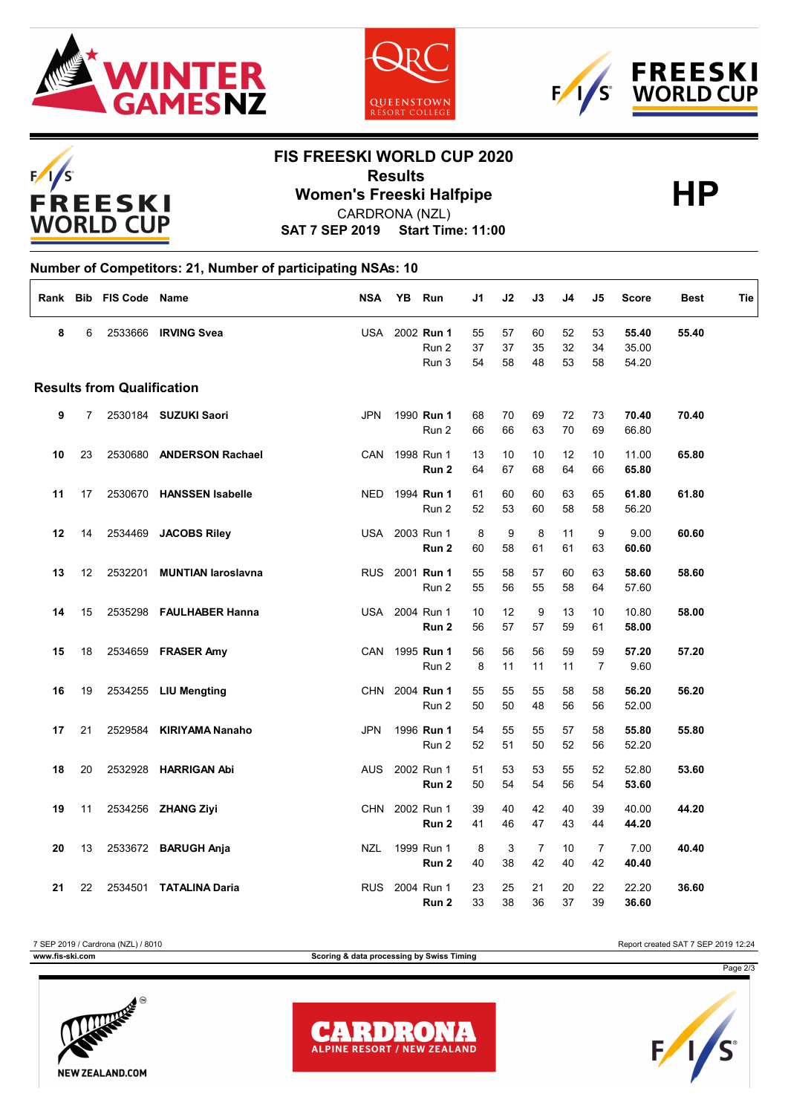







## **FIS FREESKI WORLD CUP 2020**

**Results<br>
Women's Freeski Halfpipe<br>
CAPDRONA (NZL)** 

CARDRONA (NZL)

**SAT 7 SEP 2019 Start Time: 11:00**

#### **Number of Competitors: 21, Number of participating NSAs: 10**

|    |                | Rank Bib FIS Code Name            |                           | <b>NSA</b> | YB | Run                                         | J1             | J2             | J3                   | J4             | J5                   | <b>Score</b>            | <b>Best</b> | Tie |
|----|----------------|-----------------------------------|---------------------------|------------|----|---------------------------------------------|----------------|----------------|----------------------|----------------|----------------------|-------------------------|-------------|-----|
| 8  | 6              |                                   | 2533666 IRVING Svea       |            |    | USA 2002 Run 1<br>Run <sub>2</sub><br>Run 3 | 55<br>37<br>54 | 57<br>37<br>58 | 60<br>35<br>48       | 52<br>32<br>53 | 53<br>34<br>58       | 55.40<br>35.00<br>54.20 | 55.40       |     |
|    |                | <b>Results from Qualification</b> |                           |            |    |                                             |                |                |                      |                |                      |                         |             |     |
| 9  | $\overline{7}$ |                                   | 2530184 SUZUKI Saori      | <b>JPN</b> |    | 1990 Run 1<br>Run 2                         | 68<br>66       | 70<br>66       | 69<br>63             | 72<br>70       | 73<br>69             | 70.40<br>66.80          | 70.40       |     |
| 10 | 23             |                                   | 2530680 ANDERSON Rachael  | <b>CAN</b> |    | 1998 Run 1<br>Run <sub>2</sub>              | 13<br>64       | 10<br>67       | 10<br>68             | 12<br>64       | 10<br>66             | 11.00<br>65.80          | 65.80       |     |
| 11 | 17             |                                   | 2530670 HANSSEN Isabelle  | <b>NED</b> |    | 1994 Run 1<br>Run 2                         | 61<br>52       | 60<br>53       | 60<br>60             | 63<br>58       | 65<br>58             | 61.80<br>56.20          | 61.80       |     |
| 12 | 14             |                                   | 2534469 JACOBS Riley      |            |    | USA 2003 Run 1<br>Run <sub>2</sub>          | 8<br>60        | 9<br>58        | 8<br>61              | 11<br>61       | 9<br>63              | 9.00<br>60.60           | 60.60       |     |
| 13 | 12             | 2532201                           | <b>MUNTIAN laroslavna</b> | <b>RUS</b> |    | 2001 Run 1<br>Run 2                         | 55<br>55       | 58<br>56       | 57<br>55             | 60<br>58       | 63<br>64             | 58.60<br>57.60          | 58.60       |     |
| 14 | 15             |                                   | 2535298 FAULHABER Hanna   | USA        |    | 2004 Run 1<br>Run <sub>2</sub>              | 10<br>56       | 12<br>57       | 9<br>57              | 13<br>59       | 10<br>61             | 10.80<br>58.00          | 58.00       |     |
| 15 | 18             |                                   | 2534659 FRASER Amy        | CAN        |    | 1995 Run 1<br>Run 2                         | 56<br>8        | 56<br>11       | 56<br>11             | 59<br>11       | 59<br>$\overline{7}$ | 57.20<br>9.60           | 57.20       |     |
| 16 | 19             |                                   | 2534255 LIU Mengting      | <b>CHN</b> |    | 2004 Run 1<br>Run 2                         | 55<br>50       | 55<br>50       | 55<br>48             | 58<br>56       | 58<br>56             | 56.20<br>52.00          | 56.20       |     |
| 17 | 21             |                                   | 2529584 KIRIYAMA Nanaho   | <b>JPN</b> |    | 1996 Run 1<br>Run 2                         | 54<br>52       | 55<br>51       | 55<br>50             | 57<br>52       | 58<br>56             | 55.80<br>52.20          | 55.80       |     |
| 18 | 20             |                                   | 2532928 HARRIGAN Abi      | <b>AUS</b> |    | 2002 Run 1<br>Run 2                         | 51<br>50       | 53<br>54       | 53<br>54             | 55<br>56       | 52<br>54             | 52.80<br>53.60          | 53.60       |     |
| 19 | 11             |                                   | 2534256 ZHANG Ziyi        | <b>CHN</b> |    | 2002 Run 1<br>Run 2                         | 39<br>41       | 40<br>46       | 42<br>47             | 40<br>43       | 39<br>44             | 40.00<br>44.20          | 44.20       |     |
| 20 | 13             |                                   | 2533672 BARUGH Anja       | <b>NZL</b> |    | 1999 Run 1<br>Run 2                         | 8<br>40        | 3<br>38        | $\overline{7}$<br>42 | 10<br>40       | $\overline{7}$<br>42 | 7.00<br>40.40           | 40.40       |     |
| 21 | 22             | 2534501                           | <b>TATALINA Daria</b>     | <b>RUS</b> |    | 2004 Run 1<br>Run 2                         | 23<br>33       | 25<br>38       | 21<br>36             | 20<br>37       | 22<br>39             | 22.20<br>36.60          | 36.60       |     |

7 SEP 2019 / Cardrona (NZL) / 8010 Report created SAT 7 SEP 2019 12:24 **www.fis-ski.com Scoring & data processing by Swiss Timing** Page 2/3